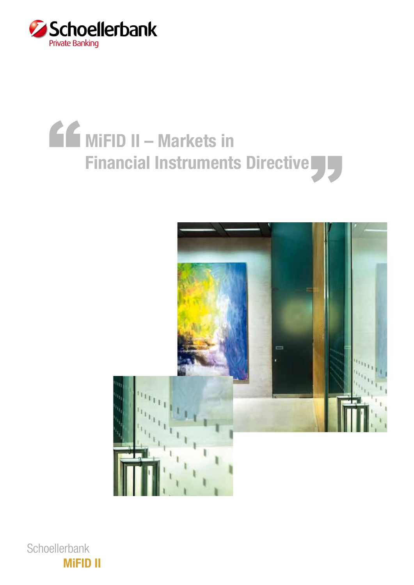

# MiFID II – Markets in Financial Instruments Directive



**Schoellerbank** MiFID II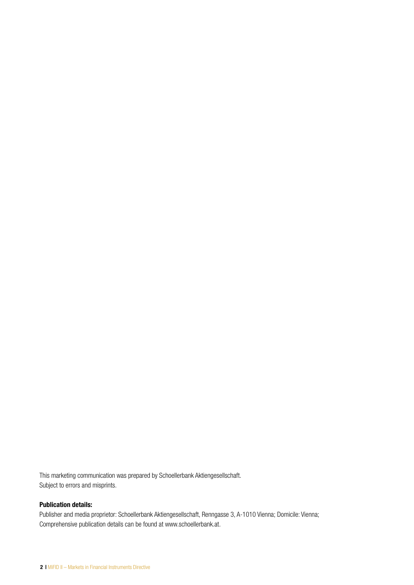This marketing communication was prepared by Schoellerbank Aktiengesellschaft. Subject to errors and misprints.

#### Publication details:

Publisher and media proprietor: Schoellerbank Aktiengesellschaft, Renngasse 3, A-1010 Vienna; Domicile: Vienna; Comprehensive publication details can be found at www.schoellerbank.at.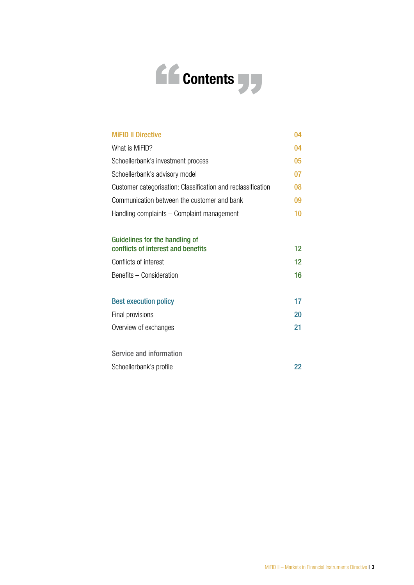

| <b>MiFID II Directive</b>                                    | 04                |  |  |  |  |  |  |
|--------------------------------------------------------------|-------------------|--|--|--|--|--|--|
| What is MiFID?                                               | 04                |  |  |  |  |  |  |
| Schoellerbank's investment process                           | 05                |  |  |  |  |  |  |
| Schoellerbank's advisory model                               | 07                |  |  |  |  |  |  |
| Customer categorisation: Classification and reclassification |                   |  |  |  |  |  |  |
| Communication between the customer and bank                  |                   |  |  |  |  |  |  |
| Handling complaints – Complaint management                   |                   |  |  |  |  |  |  |
|                                                              |                   |  |  |  |  |  |  |
| Guidelines for the handling of                               |                   |  |  |  |  |  |  |
| conflicts of interest and benefits                           | 12                |  |  |  |  |  |  |
| Conflicts of interest                                        | $12 \overline{ }$ |  |  |  |  |  |  |
| Benefits - Consideration                                     | 16                |  |  |  |  |  |  |
|                                                              |                   |  |  |  |  |  |  |
| <b>Best execution policy</b>                                 | 17                |  |  |  |  |  |  |
| Final provisions                                             | 20                |  |  |  |  |  |  |
| Overview of exchanges                                        | 21                |  |  |  |  |  |  |
|                                                              |                   |  |  |  |  |  |  |
| Service and information                                      |                   |  |  |  |  |  |  |
| Schoellerbank's profile                                      | 22                |  |  |  |  |  |  |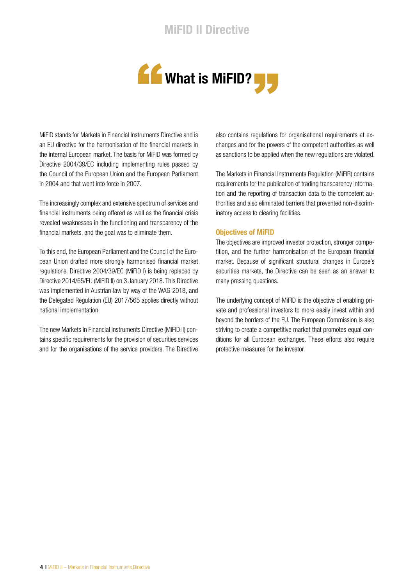

MiFID stands for Markets in Financial Instruments Directive and is an EU directive for the harmonisation of the financial markets in the internal European market. The basis for MiFID was formed by Directive 2004/39/EC including implementing rules passed by the Council of the European Union and the European Parliament in 2004 and that went into force in 2007.

The increasingly complex and extensive spectrum of services and financial instruments being offered as well as the financial crisis revealed weaknesses in the functioning and transparency of the financial markets, and the goal was to eliminate them.

To this end, the European Parliament and the Council of the European Union drafted more strongly harmonised financial market regulations. Directive 2004/39/EC (MiFID I) is being replaced by Directive 2014/65/EU (MiFID II) on 3 January 2018. This Directive was implemented in Austrian law by way of the WAG 2018, and the Delegated Regulation (EU) 2017/565 applies directly without national implementation.

The new Markets in Financial Instruments Directive (MiFID II) contains specific requirements for the provision of securities services and for the organisations of the service providers. The Directive also contains regulations for organisational requirements at exchanges and for the powers of the competent authorities as well as sanctions to be applied when the new regulations are violated.

The Markets in Financial Instruments Regulation (MiFIR) contains requirements for the publication of trading transparency information and the reporting of transaction data to the competent authorities and also eliminated barriers that prevented non-discriminatory access to clearing facilities.

#### Objectives of MiFID

The objectives are improved investor protection, stronger competition, and the further harmonisation of the European financial market. Because of significant structural changes in Europe's securities markets, the Directive can be seen as an answer to many pressing questions.

The underlying concept of MiFID is the objective of enabling private and professional investors to more easily invest within and beyond the borders of the EU. The European Commission is also striving to create a competitive market that promotes equal conditions for all European exchanges. These efforts also require protective measures for the investor.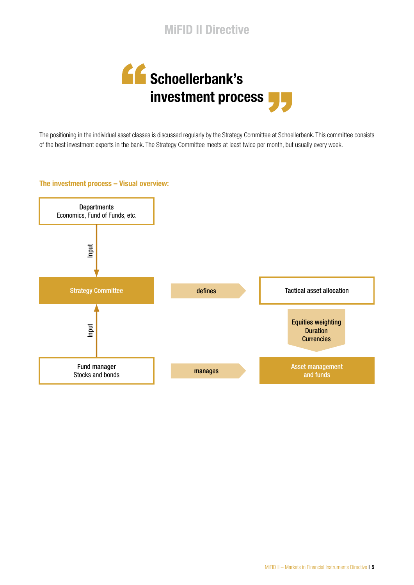



The positioning in the individual asset classes is discussed regularly by the Strategy Committee at Schoellerbank. This committee consists of the best investment experts in the bank. The Strategy Committee meets at least twice per month, but usually every week.

#### The investment process – Visual overview:

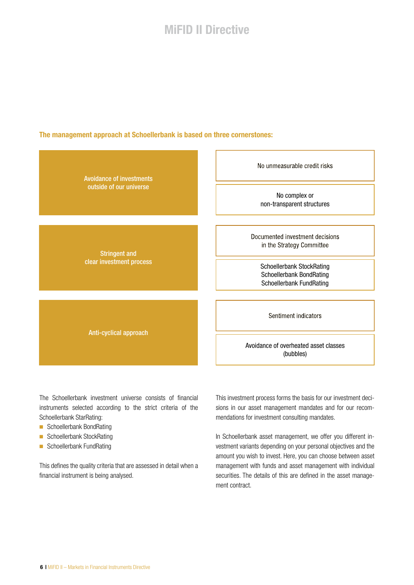#### The management approach at Schoellerbank is based on three cornerstones:



The Schoellerbank investment universe consists of financial instruments selected according to the strict criteria of the Schoellerbank StarRating:

- Schoellerbank BondRating
- Schoellerbank StockRating
- Schoellerbank FundRating

This defines the quality criteria that are assessed in detail when a financial instrument is being analysed.

This investment process forms the basis for our investment decisions in our asset management mandates and for our recommendations for investment consulting mandates.

In Schoellerbank asset management, we offer you different investment variants depending on your personal objectives and the amount you wish to invest. Here, you can choose between asset management with funds and asset management with individual securities. The details of this are defined in the asset management contract.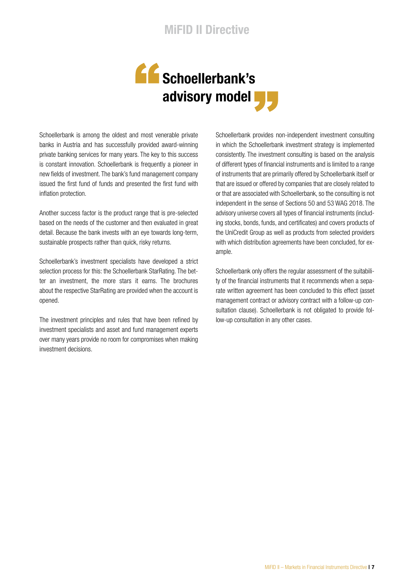

Schoellerbank is among the oldest and most venerable private banks in Austria and has successfully provided award-winning private banking services for many years. The key to this success is constant innovation. Schoellerbank is frequently a pioneer in new fields of investment. The bank's fund management company issued the first fund of funds and presented the first fund with inflation protection.

Another success factor is the product range that is pre-selected based on the needs of the customer and then evaluated in great detail. Because the bank invests with an eye towards long-term, sustainable prospects rather than quick, risky returns.

Schoellerbank's investment specialists have developed a strict selection process for this: the Schoellerbank StarRating. The better an investment, the more stars it earns. The brochures about the respective StarRating are provided when the account is opened.

The investment principles and rules that have been refined by investment specialists and asset and fund management experts over many years provide no room for compromises when making investment decisions.

Schoellerbank provides non-independent investment consulting in which the Schoellerbank investment strategy is implemented consistently. The investment consulting is based on the analysis of different types of financial instruments and is limited to a range of instruments that are primarily offered by Schoellerbank itself or that are issued or offered by companies that are closely related to or that are associated with Schoellerbank, so the consulting is not independent in the sense of Sections 50 and 53 WAG 2018. The advisory universe covers all types of financial instruments (including stocks, bonds, funds, and certificates) and covers products of the UniCredit Group as well as products from selected providers with which distribution agreements have been concluded, for example.

Schoellerbank only offers the regular assessment of the suitability of the financial instruments that it recommends when a separate written agreement has been concluded to this effect (asset management contract or advisory contract with a follow-up consultation clause). Schoellerbank is not obligated to provide follow-up consultation in any other cases.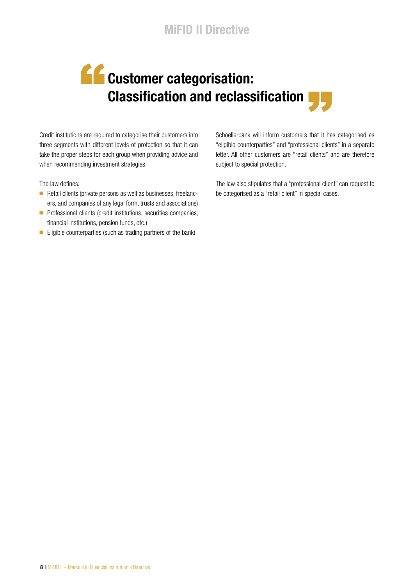## **CC** Customer categorisation: **Classification and reclassification**

Credit institutions are required to categorise their customers into three segments with different levels of protection so that it can take the proper steps for each group when providing advice and when recommending investment strategies.

The law defines:

- Retail clients (private persons as well as businesses, freelancers, and companies of any legal form, trusts and associations)
- Professional clients (credit institutions, securities companies, financial institutions, pension funds, etc.)
- Eligible counterparties (such as trading partners of the bank)

Schoellerbank will inform customers that it has categorised as "eligible counterparties" and "professional clients" in a separate letter. All other customers are "retail clients" and are therefore subject to special protection.

The law also stipulates that a "professional client" can request to be categorised as a "retail client" in special cases.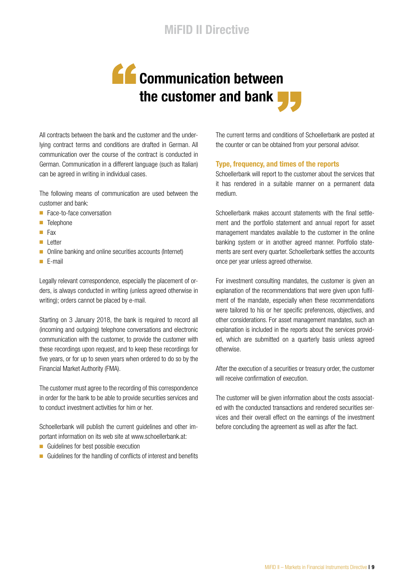## **Communication between** the customer and bank  $\blacksquare$

All contracts between the bank and the customer and the underlying contract terms and conditions are drafted in German. All communication over the course of the contract is conducted in German. Communication in a different language (such as Italian) can be agreed in writing in individual cases.

The following means of communication are used between the customer and bank:

- Face-to-face conversation
- Telephone
- Fax
- Letter
- Online banking and online securities accounts (Internet)
- E-mail

Legally relevant correspondence, especially the placement of orders, is always conducted in writing (unless agreed otherwise in writing); orders cannot be placed by e-mail.

Starting on 3 January 2018, the bank is required to record all (incoming and outgoing) telephone conversations and electronic communication with the customer, to provide the customer with these recordings upon request, and to keep these recordings for five years, or for up to seven years when ordered to do so by the Financial Market Authority (FMA).

The customer must agree to the recording of this correspondence in order for the bank to be able to provide securities services and to conduct investment activities for him or her.

Schoellerbank will publish the current guidelines and other important information on its web site at www.schoellerbank.at:

- Guidelines for best possible execution
- Guidelines for the handling of conflicts of interest and benefits

The current terms and conditions of Schoellerbank are posted at the counter or can be obtained from your personal advisor.

#### Type, frequency, and times of the reports

Schoellerbank will report to the customer about the services that it has rendered in a suitable manner on a permanent data medium.

Schoellerbank makes account statements with the final settlement and the portfolio statement and annual report for asset management mandates available to the customer in the online banking system or in another agreed manner. Portfolio statements are sent every quarter. Schoellerbank settles the accounts once per year unless agreed otherwise.

For investment consulting mandates, the customer is given an explanation of the recommendations that were given upon fulfilment of the mandate, especially when these recommendations were tailored to his or her specific preferences, objectives, and other considerations. For asset management mandates, such an explanation is included in the reports about the services provided, which are submitted on a quarterly basis unless agreed otherwise.

After the execution of a securities or treasury order, the customer will receive confirmation of execution.

The customer will be given information about the costs associated with the conducted transactions and rendered securities services and their overall effect on the earnings of the investment before concluding the agreement as well as after the fact.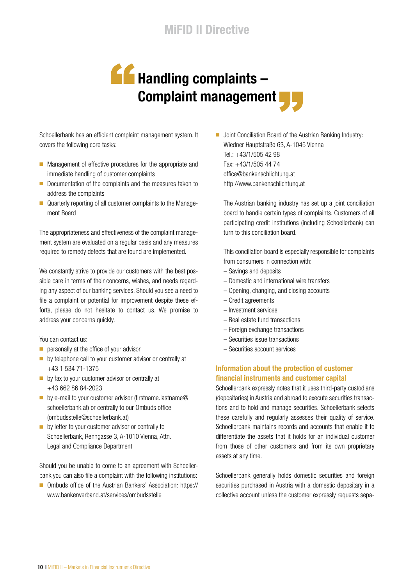## **AG** Handling complaints -Complaint management

Schoellerbank has an efficient complaint management system. It covers the following core tasks:

- Management of effective procedures for the appropriate and immediate handling of customer complaints
- Documentation of the complaints and the measures taken to address the complaints
- Quarterly reporting of all customer complaints to the Management Board

The appropriateness and effectiveness of the complaint management system are evaluated on a regular basis and any measures required to remedy defects that are found are implemented.

We constantly strive to provide our customers with the best possible care in terms of their concerns, wishes, and needs regarding any aspect of our banking services. Should you see a need to file a complaint or potential for improvement despite these efforts, please do not hesitate to contact us. We promise to address your concerns quickly.

You can contact us:

- personally at the office of your advisor
- by telephone call to your customer advisor or centrally at +43 1 534 71-1375
- by fax to your customer advisor or centrally at +43 662 86 84-2023
- by e-mail to your customer advisor (firstname.lastname@ schoellerbank.at) or centrally to our Ombuds office (ombudsstelle@schoellerbank.at)
- by letter to your customer advisor or centrally to Schoellerbank, Renngasse 3, A-1010 Vienna, Attn. Legal and Compliance Department

Should you be unable to come to an agreement with Schoellerbank you can also file a complaint with the following institutions:

■ Ombuds office of the Austrian Bankers' Association: https:// www.bankenverband.at/services/ombudsstelle

■ Joint Conciliation Board of the Austrian Banking Industry: Wiedner Hauptstraße 63, A-1045 Vienna Tel.: +43/1/505 42 98 Fax: +43/1/505 44 74 office@bankenschlichtung.at http://www.bankenschlichtung.at

The Austrian banking industry has set up a joint conciliation board to handle certain types of complaints. Customers of all participating credit institutions (including Schoellerbank) can turn to this conciliation board.

This conciliation board is especially responsible for complaints from consumers in connection with:

- Savings and deposits
- Domestic and international wire transfers
- Opening, changing, and closing accounts
- Credit agreements
- Investment services
- Real estate fund transactions
- Foreign exchange transactions
- Securities issue transactions
- Securities account services

#### Information about the protection of customer financial instruments and customer capital

Schoellerbank expressly notes that it uses third-party custodians (depositaries) in Austria and abroad to execute securities transactions and to hold and manage securities. Schoellerbank selects these carefully and regularly assesses their quality of service. Schoellerbank maintains records and accounts that enable it to differentiate the assets that it holds for an individual customer from those of other customers and from its own proprietary assets at any time.

Schoellerbank generally holds domestic securities and foreign securities purchased in Austria with a domestic depositary in a collective account unless the customer expressly requests sepa-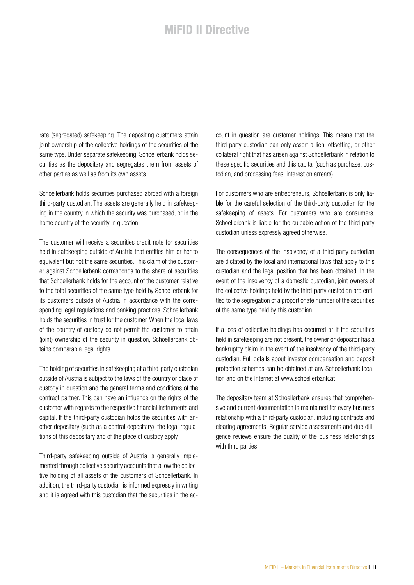rate (segregated) safekeeping. The depositing customers attain joint ownership of the collective holdings of the securities of the same type. Under separate safekeeping, Schoellerbank holds securities as the depositary and segregates them from assets of other parties as well as from its own assets.

Schoellerbank holds securities purchased abroad with a foreign third-party custodian. The assets are generally held in safekeeping in the country in which the security was purchased, or in the home country of the security in question.

The customer will receive a securities credit note for securities held in safekeeping outside of Austria that entitles him or her to equivalent but not the same securities. This claim of the customer against Schoellerbank corresponds to the share of securities that Schoellerbank holds for the account of the customer relative to the total securities of the same type held by Schoellerbank for its customers outside of Austria in accordance with the corresponding legal regulations and banking practices. Schoellerbank holds the securities in trust for the customer. When the local laws of the country of custody do not permit the customer to attain (joint) ownership of the security in question, Schoellerbank obtains comparable legal rights.

The holding of securities in safekeeping at a third-party custodian outside of Austria is subject to the laws of the country or place of custody in question and the general terms and conditions of the contract partner. This can have an influence on the rights of the customer with regards to the respective financial instruments and capital. If the third-party custodian holds the securities with another depositary (such as a central depositary), the legal regulations of this depositary and of the place of custody apply.

Third-party safekeeping outside of Austria is generally implemented through collective security accounts that allow the collective holding of all assets of the customers of Schoellerbank. In addition, the third-party custodian is informed expressly in writing and it is agreed with this custodian that the securities in the account in question are customer holdings. This means that the third-party custodian can only assert a lien, offsetting, or other collateral right that has arisen against Schoellerbank in relation to these specific securities and this capital (such as purchase, custodian, and processing fees, interest on arrears).

For customers who are entrepreneurs, Schoellerbank is only liable for the careful selection of the third-party custodian for the safekeeping of assets. For customers who are consumers, Schoellerbank is liable for the culpable action of the third-party custodian unless expressly agreed otherwise.

The consequences of the insolvency of a third-party custodian are dictated by the local and international laws that apply to this custodian and the legal position that has been obtained. In the event of the insolvency of a domestic custodian, joint owners of the collective holdings held by the third-party custodian are entitled to the segregation of a proportionate number of the securities of the same type held by this custodian.

If a loss of collective holdings has occurred or if the securities held in safekeeping are not present, the owner or depositor has a bankruptcy claim in the event of the insolvency of the third-party custodian. Full details about investor compensation and deposit protection schemes can be obtained at any Schoellerbank location and on the Internet at www.schoellerbank.at.

The depositary team at Schoellerbank ensures that comprehensive and current documentation is maintained for every business relationship with a third-party custodian, including contracts and clearing agreements. Regular service assessments and due diligence reviews ensure the quality of the business relationships with third parties.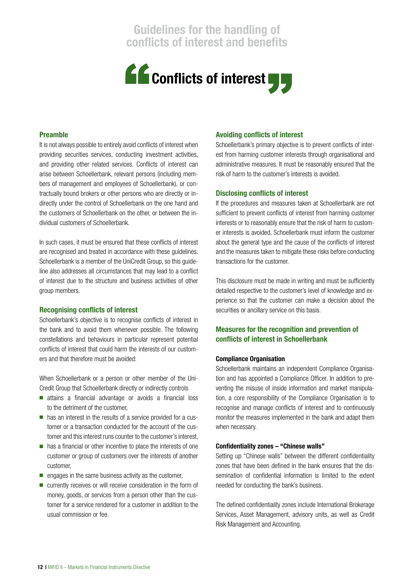

#### Preamble

It is not always possible to entirely avoid conflicts of interest when providing securities services, conducting investment activities, and providing other related services. Conflicts of interest can arise between Schoellerbank, relevant persons (including members of management and employees of Schoellerbank), or contractually bound brokers or other persons who are directly or indirectly under the control of Schoellerbank on the one hand and the customers of Schoellerbank on the other, or between the individual customers of Schoellerbank.

In such cases, it must be ensured that these conflicts of interest are recognised and treated in accordance with these guidelines. Schoellerbank is a member of the UniCredit Group, so this guideline also addresses all circumstances that may lead to a conflict of interest due to the structure and business activities of other group members.

#### Recognising conflicts of interest

Schoellerbank's objective is to recognise conflicts of interest in the bank and to avoid them whenever possible. The following constellations and behaviours in particular represent potential conflicts of interest that could harm the interests of our customers and that therefore must be avoided:

When Schoellerbank or a person or other member of the Uni-Credit Group that Schoellerbank directly or indirectly controls

- attains a financial advantage or avoids a financial loss to the detriment of the customer,
- has an interest in the results of a service provided for a customer or a transaction conducted for the account of the customer and this interest runs counter to the customer's interest,
- has a financial or other incentive to place the interests of one customer or group of customers over the interests of another customer,
- $\blacksquare$  engages in the same business activity as the customer.
- currently receives or will receive consideration in the form of money, goods, or services from a person other than the customer for a service rendered for a customer in addition to the usual commission or fee.

#### Avoiding conflicts of interest

Schoellerbank's primary objective is to prevent conflicts of interest from harming customer interests through organisational and administrative measures. It must be reasonably ensured that the risk of harm to the customer's interests is avoided.

#### Disclosing conflicts of interest

If the procedures and measures taken at Schoellerbank are not sufficient to prevent conflicts of interest from harming customer interests or to reasonably ensure that the risk of harm to customer interests is avoided, Schoellerbank must inform the customer about the general type and the cause of the conflicts of interest and the measures taken to mitigate these risks before conducting transactions for the customer.

This disclosure must be made in writing and must be sufficiently detailed respective to the customer's level of knowledge and experience so that the customer can make a decision about the securities or ancillary service on this basis.

#### Measures for the recognition and prevention of conflicts of interest in Schoellerbank

#### Compliance Organisation

Schoellerbank maintains an independent Compliance Organisation and has appointed a Compliance Officer. In addition to preventing the misuse of inside information and market manipulation, a core responsibility of the Compliance Organisation is to recognise and manage conflicts of interest and to continuously monitor the measures implemented in the bank and adapt them when necessary.

#### Confidentiality zones – "Chinese walls"

Setting up "Chinese walls" between the different confidentiality zones that have been defined in the bank ensures that the dissemination of confidential information is limited to the extent needed for conducting the bank's business.

The defined confidentiality zones include International Brokerage Services, Asset Management, advisory units, as well as Credit Risk Management and Accounting.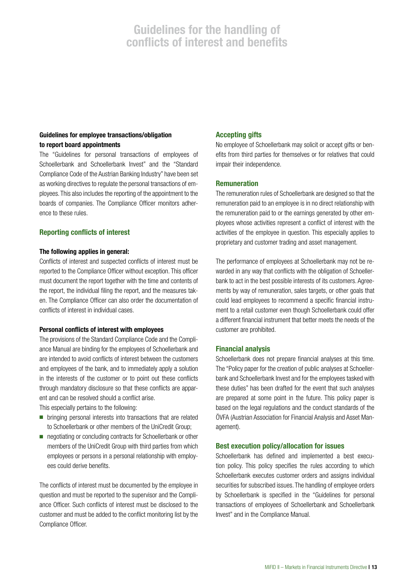#### Guidelines for employee transactions/obligation to report board appointments

The "Guidelines for personal transactions of employees of Schoellerbank and Schoellerbank Invest" and the "Standard Compliance Code of the Austrian Banking Industry" have been set as working directives to regulate the personal transactions of employees. This also includes the reporting of the appointment to the boards of companies. The Compliance Officer monitors adherence to these rules.

#### Reporting conflicts of interest

#### The following applies in general:

Conflicts of interest and suspected conflicts of interest must be reported to the Compliance Officer without exception. This officer must document the report together with the time and contents of the report, the individual filing the report, and the measures taken. The Compliance Officer can also order the documentation of conflicts of interest in individual cases.

#### Personal conflicts of interest with employees

The provisions of the Standard Compliance Code and the Compliance Manual are binding for the employees of Schoellerbank and are intended to avoid conflicts of interest between the customers and employees of the bank, and to immediately apply a solution in the interests of the customer or to point out these conflicts through mandatory disclosure so that these conflicts are apparent and can be resolved should a conflict arise.

This especially pertains to the following:

- bringing personal interests into transactions that are related to Schoellerbank or other members of the UniCredit Group;
- negotiating or concluding contracts for Schoellerbank or other members of the UniCredit Group with third parties from which employees or persons in a personal relationship with employees could derive benefits.

The conflicts of interest must be documented by the employee in question and must be reported to the supervisor and the Compliance Officer. Such conflicts of interest must be disclosed to the customer and must be added to the conflict monitoring list by the Compliance Officer.

#### Accepting gifts

No employee of Schoellerbank may solicit or accept gifts or benefits from third parties for themselves or for relatives that could impair their independence.

#### Remuneration

The remuneration rules of Schoellerbank are designed so that the remuneration paid to an employee is in no direct relationship with the remuneration paid to or the earnings generated by other employees whose activities represent a conflict of interest with the activities of the employee in question. This especially applies to proprietary and customer trading and asset management.

The performance of employees at Schoellerbank may not be rewarded in any way that conflicts with the obligation of Schoellerbank to act in the best possible interests of its customers. Agreements by way of remuneration, sales targets, or other goals that could lead employees to recommend a specific financial instrument to a retail customer even though Schoellerbank could offer a different financial instrument that better meets the needs of the customer are prohibited.

#### Financial analysis

Schoellerbank does not prepare financial analyses at this time. The "Policy paper for the creation of public analyses at Schoellerbank and Schoellerbank Invest and for the employees tasked with these duties" has been drafted for the event that such analyses are prepared at some point in the future. This policy paper is based on the legal regulations and the conduct standards of the ÖVFA (Austrian Association for Financial Analysis and Asset Management).

#### Best execution policy/allocation for issues

Schoellerbank has defined and implemented a best execution policy. This policy specifies the rules according to which Schoellerbank executes customer orders and assigns individual securities for subscribed issues. The handling of employee orders by Schoellerbank is specified in the "Guidelines for personal transactions of employees of Schoellerbank and Schoellerbank Invest" and in the Compliance Manual.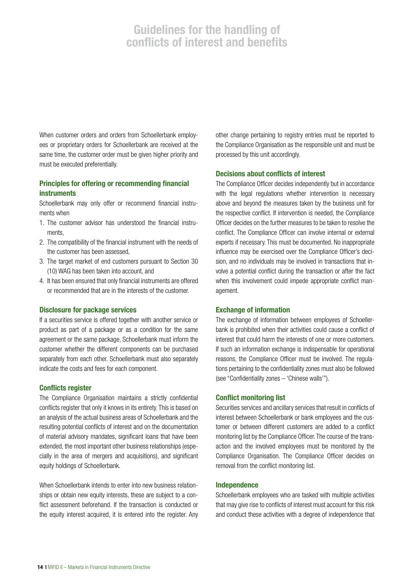When customer orders and orders from Schoellerbank employees or proprietary orders for Schoellerbank are received at the same time, the customer order must be given higher priority and must be executed preferentially.

#### Principles for offering or recommending financial instruments

Schoellerbank may only offer or recommend financial instruments when

- 1. The customer advisor has understood the financial instruments,
- 2. The compatibility of the financial instrument with the needs of the customer has been assessed,
- 3. The target market of end customers pursuant to Section 30 (10) WAG has been taken into account, and
- 4. It has been ensured that only financial instruments are offered or recommended that are in the interests of the customer.

#### Disclosure for package services

If a securities service is offered together with another service or product as part of a package or as a condition for the same agreement or the same package, Schoellerbank must inform the customer whether the different components can be purchased separately from each other. Schoellerbank must also separately indicate the costs and fees for each component.

#### Conflicts register

The Compliance Organisation maintains a strictly confidential conflicts register that only it knows in its entirety. This is based on an analysis of the actual business areas of Schoellerbank and the resulting potential conflicts of interest and on the documentation of material advisory mandates, significant loans that have been extended, the most important other business relationships (especially in the area of mergers and acquisitions), and significant equity holdings of Schoellerbank.

When Schoellerbank intends to enter into new business relationships or obtain new equity interests, these are subject to a conflict assessment beforehand. If the transaction is conducted or the equity interest acquired, it is entered into the register. Any other change pertaining to registry entries must be reported to the Compliance Organisation as the responsible unit and must be processed by this unit accordingly.

#### Decisions about conflicts of interest

The Compliance Officer decides independently but in accordance with the legal regulations whether intervention is necessary above and beyond the measures taken by the business unit for the respective conflict. If intervention is needed, the Compliance Officer decides on the further measures to be taken to resolve the conflict. The Compliance Officer can involve internal or external experts if necessary. This must be documented. No inappropriate influence may be exercised over the Compliance Officer's decision, and no individuals may be involved in transactions that involve a potential conflict during the transaction or after the fact when this involvement could impede appropriate conflict management.

#### Exchange of information

The exchange of information between employees of Schoellerbank is prohibited when their activities could cause a conflict of interest that could harm the interests of one or more customers. If such an information exchange is indispensable for operational reasons, the Compliance Officer must be involved. The regulations pertaining to the confidentiality zones must also be followed (see "Confidentiality zones – 'Chinese walls'").

#### Conflict monitoring list

Securities services and ancillary services that result in conflicts of interest between Schoellerbank or bank employees and the customer or between different customers are added to a conflict monitoring list by the Compliance Officer. The course of the transaction and the involved employees must be monitored by the Compliance Organisation. The Compliance Officer decides on removal from the conflict monitoring list.

#### Independence

Schoellerbank employees who are tasked with multiple activities that may give rise to conflicts of interest must account for this risk and conduct these activities with a degree of independence that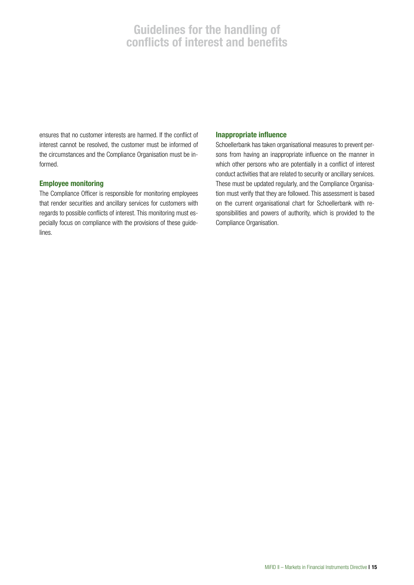ensures that no customer interests are harmed. If the conflict of interest cannot be resolved, the customer must be informed of the circumstances and the Compliance Organisation must be informed.

#### Employee monitoring

The Compliance Officer is responsible for monitoring employees that render securities and ancillary services for customers with regards to possible conflicts of interest. This monitoring must especially focus on compliance with the provisions of these guidelines.

#### Inappropriate influence

Schoellerbank has taken organisational measures to prevent persons from having an inappropriate influence on the manner in which other persons who are potentially in a conflict of interest conduct activities that are related to security or ancillary services. These must be updated regularly, and the Compliance Organisation must verify that they are followed. This assessment is based on the current organisational chart for Schoellerbank with responsibilities and powers of authority, which is provided to the Compliance Organisation.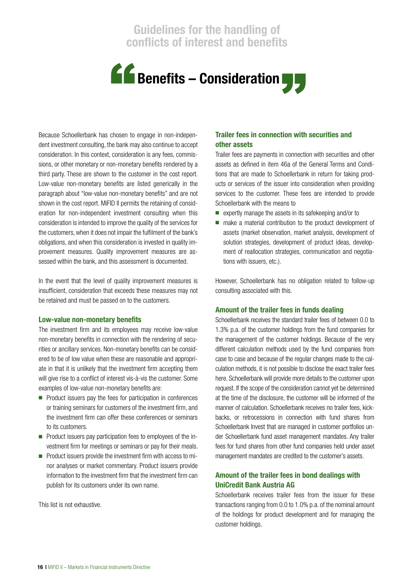

Because Schoellerbank has chosen to engage in non-independent investment consulting, the bank may also continue to accept consideration. In this context, consideration is any fees, commissions, or other monetary or non-monetary benefits rendered by a third party. These are shown to the customer in the cost report. Low-value non-monetary benefits are listed generically in the paragraph about "low-value non-monetary benefits" and are not shown in the cost report. MiFID II permits the retaining of consideration for non-independent investment consulting when this consideration is intended to improve the quality of the services for the customers, when it does not impair the fulfilment of the bank's obligations, and when this consideration is invested in quality improvement measures. Quality improvement measures are assessed within the bank, and this assessment is documented.

In the event that the level of quality improvement measures is insufficient, consideration that exceeds these measures may not be retained and must be passed on to the customers.

#### Low-value non-monetary benefits

The investment firm and its employees may receive low-value non-monetary benefits in connection with the rendering of securities or ancillary services. Non-monetary benefits can be considered to be of low value when these are reasonable and appropriate in that it is unlikely that the investment firm accepting them will give rise to a conflict of interest vis-à-vis the customer. Some examples of low-value non-monetary benefits are:

- Product issuers pay the fees for participation in conferences or training seminars for customers of the investment firm, and the investment firm can offer these conferences or seminars to its customers.
- Product issuers pay participation fees to employees of the investment firm for meetings or seminars or pay for their meals.
- Product issuers provide the investment firm with access to minor analyses or market commentary. Product issuers provide information to the investment firm that the investment firm can publish for its customers under its own name.

This list is not exhaustive.

#### Trailer fees in connection with securities and other assets

Trailer fees are payments in connection with securities and other assets as defined in item 46a of the General Terms and Conditions that are made to Schoellerbank in return for taking products or services of the issuer into consideration when providing services to the customer. These fees are intended to provide Schoellerbank with the means to

- expertly manage the assets in its safekeeping and/or to
- make a material contribution to the product development of assets (market observation, market analysis, development of solution strategies, development of product ideas, development of reallocation strategies, communication and negotiations with issuers, etc.).

However, Schoellerbank has no obligation related to follow-up consulting associated with this.

#### Amount of the trailer fees in funds dealing

Schoellerbank receives the standard trailer fees of between 0.0 to 1.3% p.a. of the customer holdings from the fund companies for the management of the customer holdings. Because of the very different calculation methods used by the fund companies from case to case and because of the regular changes made to the calculation methods, it is not possible to disclose the exact trailer fees here. Schoellerbank will provide more details to the customer upon request. If the scope of the consideration cannot yet be determined at the time of the disclosure, the customer will be informed of the manner of calculation. Schoellerbank receives no trailer fees, kickbacks, or retrocessions in connection with fund shares from Schoellerbank Invest that are managed in customer portfolios under Schoellerbank fund asset management mandates. Any trailer fees for fund shares from other fund companies held under asset management mandates are credited to the customer's assets.

#### Amount of the trailer fees in bond dealings with UniCredit Bank Austria AG

Schoellerbank receives trailer fees from the issuer for these transactions ranging from 0.0 to 1.0% p.a. of the nominal amount of the holdings for product development and for managing the customer holdings.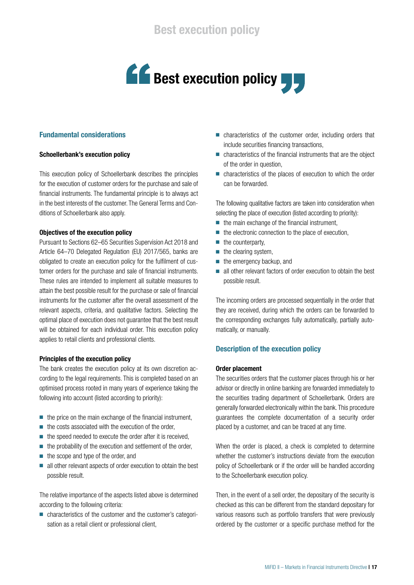

#### Fundamental considerations

#### Schoellerbank's execution policy

This execution policy of Schoellerbank describes the principles for the execution of customer orders for the purchase and sale of financial instruments. The fundamental principle is to always act in the best interests of the customer. The General Terms and Conditions of Schoellerbank also apply.

#### Objectives of the execution policy

Pursuant to Sections 62–65 Securities Supervision Act 2018 and Article 64–70 Delegated Regulation (EU) 2017/565, banks are obligated to create an execution policy for the fulfilment of customer orders for the purchase and sale of financial instruments. These rules are intended to implement all suitable measures to attain the best possible result for the purchase or sale of financial instruments for the customer after the overall assessment of the relevant aspects, criteria, and qualitative factors. Selecting the optimal place of execution does not guarantee that the best result will be obtained for each individual order. This execution policy applies to retail clients and professional clients.

#### Principles of the execution policy

The bank creates the execution policy at its own discretion according to the legal requirements. This is completed based on an optimised process rooted in many years of experience taking the following into account (listed according to priority):

- $\blacksquare$  the price on the main exchange of the financial instrument,
- $\blacksquare$  the costs associated with the execution of the order,
- the speed needed to execute the order after it is received,
- the probability of the execution and settlement of the order,
- the scope and type of the order, and
- all other relevant aspects of order execution to obtain the best possible result.

The relative importance of the aspects listed above is determined according to the following criteria:

■ characteristics of the customer and the customer's categorisation as a retail client or professional client,

- characteristics of the customer order, including orders that include securities financing transactions,
- characteristics of the financial instruments that are the object of the order in question,
- characteristics of the places of execution to which the order can be forwarded.

The following qualitative factors are taken into consideration when selecting the place of execution (listed according to priority):

- $\blacksquare$  the main exchange of the financial instrument,
- the electronic connection to the place of execution,
- the counterparty,
- $\blacksquare$  the clearing system,
- the emergency backup, and
- all other relevant factors of order execution to obtain the best possible result.

The incoming orders are processed sequentially in the order that they are received, during which the orders can be forwarded to the corresponding exchanges fully automatically, partially automatically, or manually.

#### Description of the execution policy

#### Order placement

The securities orders that the customer places through his or her advisor or directly in online banking are forwarded immediately to the securities trading department of Schoellerbank. Orders are generally forwarded electronically within the bank. This procedure guarantees the complete documentation of a security order placed by a customer, and can be traced at any time.

When the order is placed, a check is completed to determine whether the customer's instructions deviate from the execution policy of Schoellerbank or if the order will be handled according to the Schoellerbank execution policy.

Then, in the event of a sell order, the depositary of the security is checked as this can be different from the standard depositary for various reasons such as portfolio transfers that were previously ordered by the customer or a specific purchase method for the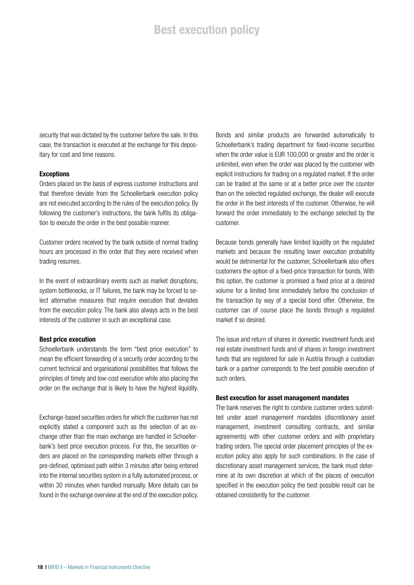### Best execution policy

security that was dictated by the customer before the sale. In this case, the transaction is executed at the exchange for this depositary for cost and time reasons.

#### Exceptions

Orders placed on the basis of express customer instructions and that therefore deviate from the Schoellerbank execution policy are not executed according to the rules of the execution policy. By following the customer's instructions, the bank fulfils its obligation to execute the order in the best possible manner.

Customer orders received by the bank outside of normal trading hours are processed in the order that they were received when trading resumes.

In the event of extraordinary events such as market disruptions, system bottlenecks, or IT failures, the bank may be forced to select alternative measures that require execution that deviates from the execution policy. The bank also always acts in the best interests of the customer in such an exceptional case.

#### Best price execution

Schoellerbank understands the term "best price execution" to mean the efficient forwarding of a security order according to the current technical and organisational possibilities that follows the principles of timely and low-cost execution while also placing the order on the exchange that is likely to have the highest liquidity.

Exchange-based securities orders for which the customer has not explicitly stated a component such as the selection of an exchange other than the main exchange are handled in Schoellerbank's best price execution process. For this, the securities orders are placed on the corresponding markets either through a pre-defined, optimised path within 3 minutes after being entered into the internal securities system in a fully automated process, or within 30 minutes when handled manually. More details can be found in the exchange overview at the end of the execution policy.

Bonds and similar products are forwarded automatically to Schoellerbank's trading department for fixed-income securities when the order value is EUR 100,000 or greater and the order is unlimited, even when the order was placed by the customer with explicit instructions for trading on a regulated market. If the order can be traded at the same or at a better price over the counter than on the selected regulated exchange, the dealer will execute the order in the best interests of the customer. Otherwise, he will forward the order immediately to the exchange selected by the customer.

Because bonds generally have limited liquidity on the regulated markets and because the resulting lower execution probability would be detrimental for the customer, Schoellerbank also offers customers the option of a fixed-price transaction for bonds. With this option, the customer is promised a fixed price at a desired volume for a limited time immediately before the conclusion of the transaction by way of a special bond offer. Otherwise, the customer can of course place the bonds through a regulated market if so desired.

The issue and return of shares in domestic investment funds and real estate investment funds and of shares in foreign investment funds that are registered for sale in Austria through a custodian bank or a partner corresponds to the best possible execution of such orders.

#### Best execution for asset management mandates

The bank reserves the right to combine customer orders submitted under asset management mandates (discretionary asset management, investment consulting contracts, and similar agreements) with other customer orders and with proprietary trading orders. The special order placement principles of the execution policy also apply for such combinations. In the case of discretionary asset management services, the bank must determine at its own discretion at which of the places of execution specified in the execution policy the best possible result can be obtained consistently for the customer.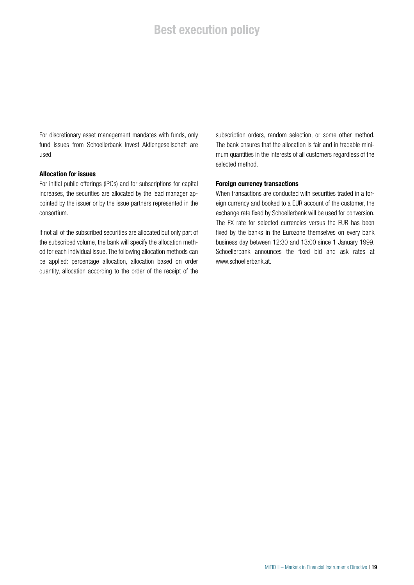## **Best execution policy**

For discretionary asset management mandates with funds, only fund issues from Schoellerbank Invest Aktiengesellschaft are used.

#### Allocation for issues

For initial public offerings (IPOs) and for subscriptions for capital increases, the securities are allocated by the lead manager appointed by the issuer or by the issue partners represented in the consortium.

If not all of the subscribed securities are allocated but only part of the subscribed volume, the bank will specify the allocation method for each individual issue. The following allocation methods can be applied: percentage allocation, allocation based on order quantity, allocation according to the order of the receipt of the

subscription orders, random selection, or some other method. The bank ensures that the allocation is fair and in tradable minimum quantities in the interests of all customers regardless of the selected method.

#### Foreign currency transactions

When transactions are conducted with securities traded in a foreign currency and booked to a EUR account of the customer, the exchange rate fixed by Schoellerbank will be used for conversion. The FX rate for selected currencies versus the EUR has been fixed by the banks in the Eurozone themselves on every bank business day between 12:30 and 13:00 since 1 January 1999. Schoellerbank announces the fixed bid and ask rates at www.schoellerbank.at.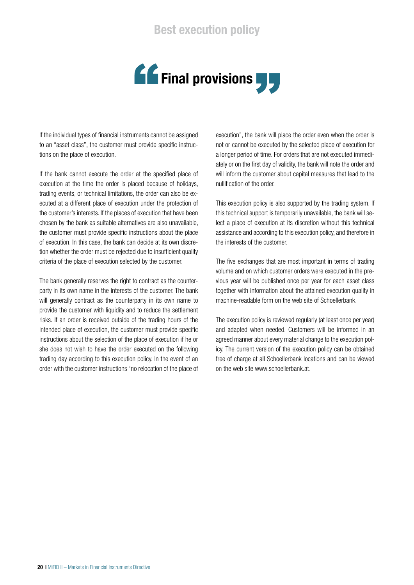## Best execution policy



If the individual types of financial instruments cannot be assigned to an "asset class", the customer must provide specific instructions on the place of execution.

If the bank cannot execute the order at the specified place of execution at the time the order is placed because of holidays, trading events, or technical limitations, the order can also be executed at a different place of execution under the protection of the customer's interests. If the places of execution that have been chosen by the bank as suitable alternatives are also unavailable, the customer must provide specific instructions about the place of execution. In this case, the bank can decide at its own discretion whether the order must be rejected due to insufficient quality criteria of the place of execution selected by the customer.

The bank generally reserves the right to contract as the counterparty in its own name in the interests of the customer. The bank will generally contract as the counterparty in its own name to provide the customer with liquidity and to reduce the settlement risks. If an order is received outside of the trading hours of the intended place of execution, the customer must provide specific instructions about the selection of the place of execution if he or she does not wish to have the order executed on the following trading day according to this execution policy. In the event of an order with the customer instructions "no relocation of the place of

execution", the bank will place the order even when the order is not or cannot be executed by the selected place of execution for a longer period of time. For orders that are not executed immediately or on the first day of validity, the bank will note the order and will inform the customer about capital measures that lead to the nullification of the order.

This execution policy is also supported by the trading system. If this technical support is temporarily unavailable, the bank will select a place of execution at its discretion without this technical assistance and according to this execution policy, and therefore in the interests of the customer.

The five exchanges that are most important in terms of trading volume and on which customer orders were executed in the previous year will be published once per year for each asset class together with information about the attained execution quality in machine-readable form on the web site of Schoellerbank.

The execution policy is reviewed regularly (at least once per year) and adapted when needed. Customers will be informed in an agreed manner about every material change to the execution policy. The current version of the execution policy can be obtained free of charge at all Schoellerbank locations and can be viewed on the web site www.schoellerbank.at.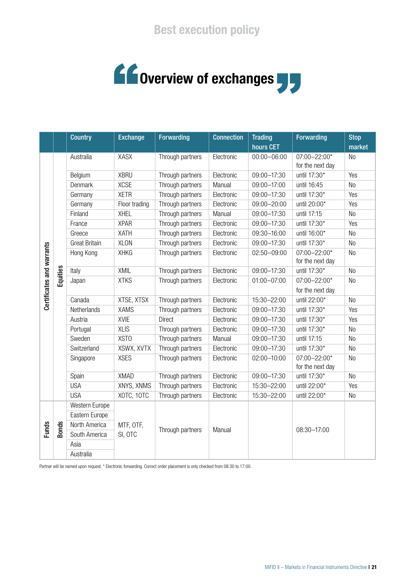# **COVERVIEW of exchanges**

|                           |              | <b>Country</b>       | <b>Exchange</b>      | <b>Forwarding</b> | <b>Connection</b> | <b>Trading</b><br>hours CET | <b>Forwarding</b>                | <b>Stop</b><br>market |
|---------------------------|--------------|----------------------|----------------------|-------------------|-------------------|-----------------------------|----------------------------------|-----------------------|
| Certificates and warrants | Equities     | Australia            | <b>XASX</b>          | Through partners  | Electronic        | $00:00 - 06:00$             | 07:00-22:00*<br>for the next day | N <sub>0</sub>        |
|                           |              | Belgium              | <b>XBRU</b>          | Through partners  | Electronic        | 09:00-17:30                 | until 17:30*                     | Yes                   |
|                           |              | Denmark              | <b>XCSE</b>          | Through partners  | Manual            | 09:00-17:00                 | until 16:45                      | N <sub>0</sub>        |
|                           |              | Germany              | <b>XETR</b>          | Through partners  | Electronic        | 09:00-17:30                 | until 17:30*                     | Yes                   |
|                           |              | Germany              | Floor trading        | Through partners  | Electronic        | 09:00-20:00                 | until 20:00*                     | Yes                   |
|                           |              | Finland              | <b>XHEL</b>          | Through partners  | Manual            | 09:00-17:30                 | until 17:15                      | N <sub>0</sub>        |
|                           |              | France               | <b>XPAR</b>          | Through partners  | Electronic        | 09:00-17:30                 | until 17:30*                     | Yes                   |
|                           |              | Greece               | XATH                 | Through partners  | Electronic        | 09:30-16:00                 | until 16:00*                     | N <sub>0</sub>        |
|                           |              | <b>Great Britain</b> | <b>XLON</b>          | Through partners  | Electronic        | 09:00-17:30                 | until 17:30*                     | N <sub>0</sub>        |
|                           |              | Hong Kong            | <b>XHKG</b>          | Through partners  | Electronic        | 02:50-09:00                 | 07:00-22:00*<br>for the next day | N <sub>0</sub>        |
|                           |              | Italy                | XMIL                 | Through partners  | Electronic        | 09:00-17:30                 | until 17:30*                     | N <sub>0</sub>        |
|                           |              | Japan                | <b>XTKS</b>          | Through partners  | Electronic        | 01:00-07:00                 | 07:00-22:00*<br>for the next day | N <sub>0</sub>        |
|                           |              | Canada               | XTSE, XTSX           | Through partners  | Electronic        | 15:30-22:00                 | until 22:00*                     | N <sub>0</sub>        |
|                           |              | Netherlands          | <b>XAMS</b>          | Through partners  | Electronic        | 09:00-17:30                 | until 17:30*                     | Yes                   |
|                           |              | Austria              | <b>XVIE</b>          | Direct            | Electronic        | 09:00-17:30                 | until 17:30*                     | Yes                   |
|                           |              | Portugal             | <b>XLIS</b>          | Through partners  | Electronic        | 09:00-17:30                 | until 17:30*                     | N <sub>0</sub>        |
|                           |              | Sweden               | <b>XSTO</b>          | Through partners  | Manual            | 09:00-17:30                 | until 17:15                      | N <sub>0</sub>        |
|                           |              | Switzerland          | XSWX, XVTX           | Through partners  | Electronic        | 09:00-17:30                 | until 17:30*                     | N <sub>0</sub>        |
|                           |              | Singapore            | <b>XSES</b>          | Through partners  | Electronic        | 02:00-10:00                 | 07:00-22:00*<br>for the next day | <b>No</b>             |
|                           |              | Spain                | <b>XMAD</b>          | Through partners  | Electronic        | 09:00-17:30                 | until 17:30*                     | N <sub>0</sub>        |
|                           |              | <b>USA</b>           | XNYS, XNMS           | Through partners  | Electronic        | 15:30-22:00                 | until 22:00*                     | Yes                   |
|                           |              | <b>USA</b>           | XOTC, 10TC           | Through partners  | Electronic        | 15:30-22:00                 | until 22:00*                     | No                    |
| <b>Funds</b>              | <b>Bonds</b> | Western Europe       | MTF, OTF,<br>SI, OTC | Through partners  | Manual            |                             |                                  |                       |
|                           |              | Eastern Europe       |                      |                   |                   |                             |                                  |                       |
|                           |              | North America        |                      |                   |                   |                             | 08:30-17:00                      |                       |
|                           |              | South America        |                      |                   |                   |                             |                                  |                       |
|                           |              | Asia                 |                      |                   |                   |                             |                                  |                       |
|                           |              | Australia            |                      |                   |                   |                             |                                  |                       |

Partner will be named upon request. \* Electronic forwarding. Correct order placement is only checked from 08:30 to 17:00.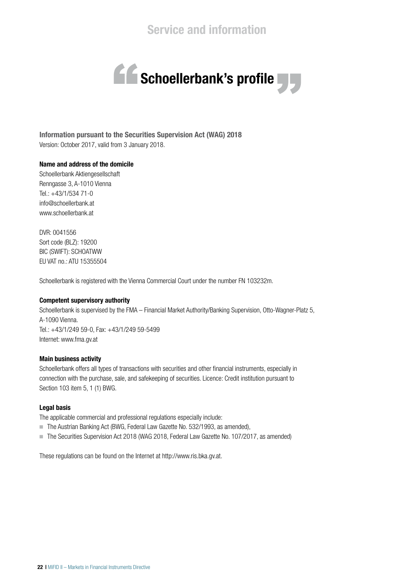

Information pursuant to the Securities Supervision Act (WAG) 2018 Version: October 2017, valid from 3 January 2018.

#### Name and address of the domicile

Schoellerbank Aktiengesellschaft Renngasse 3, A-1010 Vienna Tel.: +43/1/534 71-0 info@schoellerbank.at www.schoellerbank.at

DVR: 0041556 Sort code (BLZ): 19200 BIC (SWIFT): SCHOATWW EU VAT no.: ATU 15355504

Schoellerbank is registered with the Vienna Commercial Court under the number FN 103232m.

#### Competent supervisory authority

Schoellerbank is supervised by the FMA – Financial Market Authority/Banking Supervision, Otto-Wagner-Platz 5, A-1090 Vienna. Tel.: +43/1/249 59-0, Fax: +43/1/249 59-5499 Internet: www.fma.gv.at

#### Main business activity

Schoellerbank offers all types of transactions with securities and other financial instruments, especially in connection with the purchase, sale, and safekeeping of securities. Licence: Credit institution pursuant to Section 103 item 5, 1 (1) BWG.

#### Legal basis

The applicable commercial and professional regulations especially include:

- The Austrian Banking Act (BWG, Federal Law Gazette No. 532/1993, as amended),
- The Securities Supervision Act 2018 (WAG 2018, Federal Law Gazette No. 107/2017, as amended)

These regulations can be found on the Internet at http://www.ris.bka.gv.at.